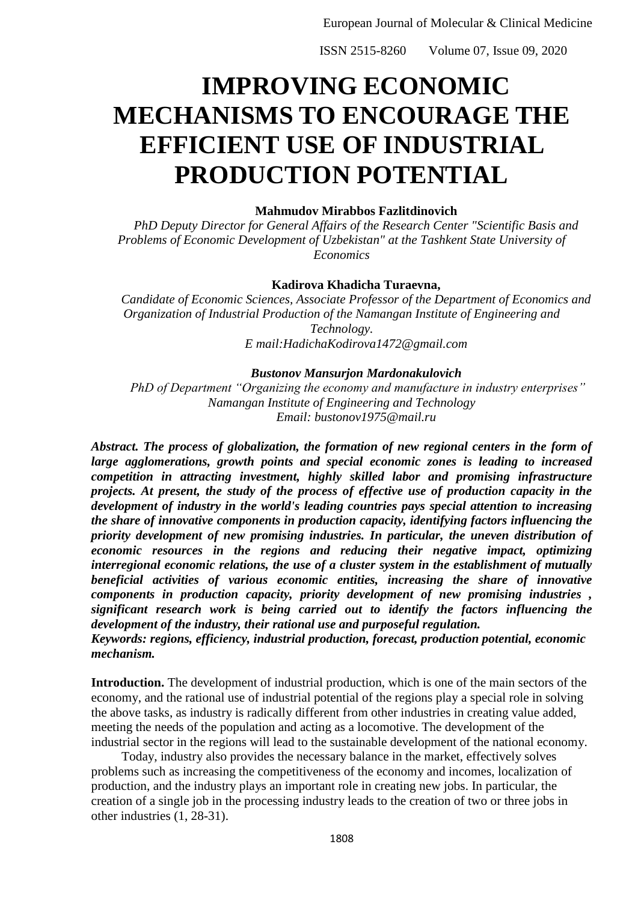# **IMPROVING ECONOMIC MECHANISMS TO ENCOURAGE THE EFFICIENT USE OF INDUSTRIAL PRODUCTION POTENTIAL**

### **Mahmudov Mirabbos Fazlitdinovich**

*PhD Deputy Director for General Affairs of the Research Center "Scientific Basis and Problems of Economic Development of Uzbekistan" at the Tashkent State University of Economics*

### **Kadirova Khadicha Turaevna,**

*Candidate of Economic Sciences, Associate Professor of the Department of Economics and Organization of Industrial Production of the Namangan Institute of Engineering and Technology. E mail:HadichaKodirova1472@gmail.com*

### *Bustonov Mansurjon Mardonakulovich*

*PhD of Department "Organizing the economy and manufacture in industry enterprises" Namangan Institute of Engineering and Technology Email: bustonov1975@mail.ru*

*Abstract. The process of globalization, the formation of new regional centers in the form of large agglomerations, growth points and special economic zones is leading to increased competition in attracting investment, highly skilled labor and promising infrastructure projects. At present, the study of the process of effective use of production capacity in the development of industry in the world's leading countries pays special attention to increasing the share of innovative components in production capacity, identifying factors influencing the priority development of new promising industries. In particular, the uneven distribution of economic resources in the regions and reducing their negative impact, optimizing interregional economic relations, the use of a cluster system in the establishment of mutually beneficial activities of various economic entities, increasing the share of innovative components in production capacity, priority development of new promising industries , significant research work is being carried out to identify the factors influencing the development of the industry, their rational use and purposeful regulation. Keywords: regions, efficiency, industrial production, forecast, production potential, economic*

*mechanism.*

**Introduction.** The development of industrial production, which is one of the main sectors of the economy, and the rational use of industrial potential of the regions play a special role in solving the above tasks, as industry is radically different from other industries in creating value added, meeting the needs of the population and acting as a locomotive. The development of the industrial sector in the regions will lead to the sustainable development of the national economy.

Today, industry also provides the necessary balance in the market, effectively solves problems such as increasing the competitiveness of the economy and incomes, localization of production, and the industry plays an important role in creating new jobs. In particular, the creation of a single job in the processing industry leads to the creation of two or three jobs in other industries (1, 28-31).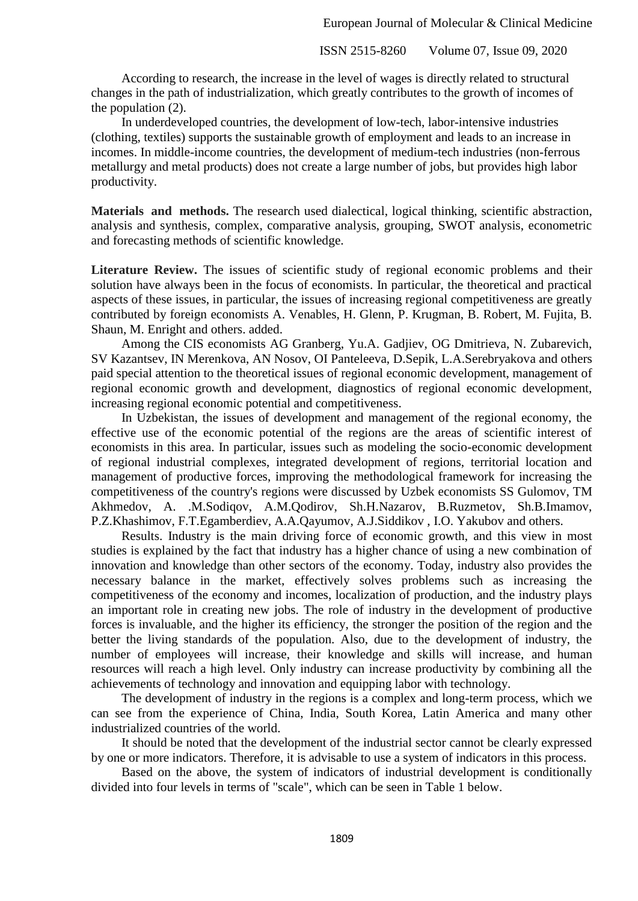According to research, the increase in the level of wages is directly related to structural changes in the path of industrialization, which greatly contributes to the growth of incomes of the population (2).

In underdeveloped countries, the development of low-tech, labor-intensive industries (clothing, textiles) supports the sustainable growth of employment and leads to an increase in incomes. In middle-income countries, the development of medium-tech industries (non-ferrous metallurgy and metal products) does not create a large number of jobs, but provides high labor productivity.

**Materials and methods.** The research used dialectical, logical thinking, scientific abstraction, analysis and synthesis, complex, comparative analysis, grouping, SWOT analysis, econometric and forecasting methods of scientific knowledge.

**Literature Review.** The issues of scientific study of regional economic problems and their solution have always been in the focus of economists. In particular, the theoretical and practical aspects of these issues, in particular, the issues of increasing regional competitiveness are greatly contributed by foreign economists A. Venables, H. Glenn, P. Krugman, B. Robert, M. Fujita, B. Shaun, M. Enright and others. added.

Among the CIS economists AG Granberg, Yu.A. Gadjiev, OG Dmitrieva, N. Zubarevich, SV Kazantsev, IN Merenkova, AN Nosov, OI Panteleeva, D.Sepik, L.A.Serebryakova and others paid special attention to the theoretical issues of regional economic development, management of regional economic growth and development, diagnostics of regional economic development, increasing regional economic potential and competitiveness.

In Uzbekistan, the issues of development and management of the regional economy, the effective use of the economic potential of the regions are the areas of scientific interest of economists in this area. In particular, issues such as modeling the socio-economic development of regional industrial complexes, integrated development of regions, territorial location and management of productive forces, improving the methodological framework for increasing the competitiveness of the country's regions were discussed by Uzbek economists SS Gulomov, TM Akhmedov, A. .M.Sodiqov, A.M.Qodirov, Sh.H.Nazarov, B.Ruzmetov, Sh.B.Imamov, P.Z.Khashimov, F.T.Egamberdiev, A.A.Qayumov, A.J.Siddikov , I.O. Yakubov and others.

Results. Industry is the main driving force of economic growth, and this view in most studies is explained by the fact that industry has a higher chance of using a new combination of innovation and knowledge than other sectors of the economy. Today, industry also provides the necessary balance in the market, effectively solves problems such as increasing the competitiveness of the economy and incomes, localization of production, and the industry plays an important role in creating new jobs. The role of industry in the development of productive forces is invaluable, and the higher its efficiency, the stronger the position of the region and the better the living standards of the population. Also, due to the development of industry, the number of employees will increase, their knowledge and skills will increase, and human resources will reach a high level. Only industry can increase productivity by combining all the achievements of technology and innovation and equipping labor with technology.

The development of industry in the regions is a complex and long-term process, which we can see from the experience of China, India, South Korea, Latin America and many other industrialized countries of the world.

It should be noted that the development of the industrial sector cannot be clearly expressed by one or more indicators. Therefore, it is advisable to use a system of indicators in this process.

Based on the above, the system of indicators of industrial development is conditionally divided into four levels in terms of "scale", which can be seen in Table 1 below.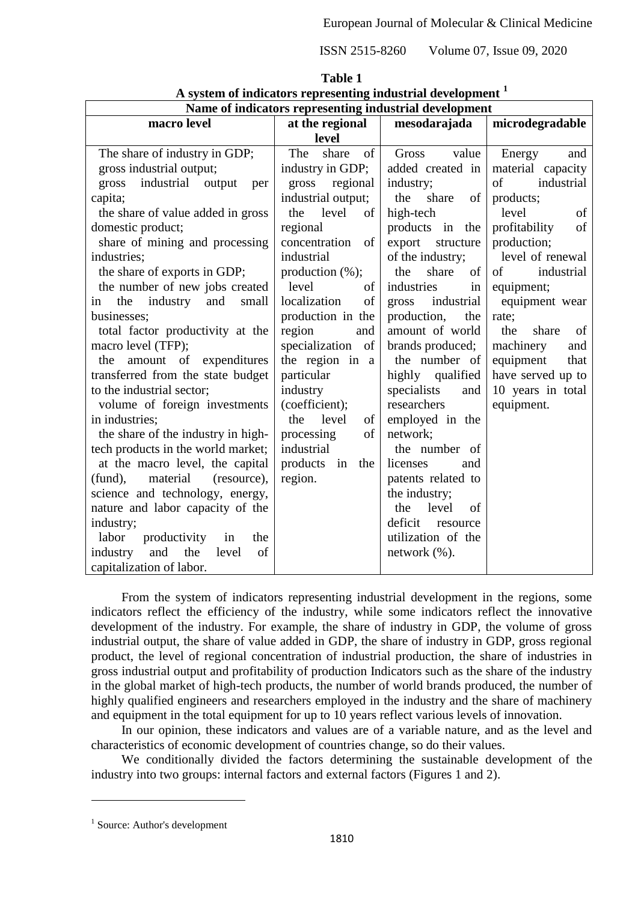| Name of indicators representing industrial development |                     |                     |                     |  |  |  |
|--------------------------------------------------------|---------------------|---------------------|---------------------|--|--|--|
| macro level                                            | at the regional     | mesodarajada        | microdegradable     |  |  |  |
|                                                        | level               |                     |                     |  |  |  |
| The share of industry in GDP;                          | The<br>share<br>of  | Gross<br>value      | Energy<br>and       |  |  |  |
| gross industrial output;                               | industry in GDP;    | added created in    | material capacity   |  |  |  |
| industrial<br>gross<br>output<br>per                   | regional<br>gross   | industry;           | of<br>industrial    |  |  |  |
| capita;                                                | industrial output;  | the<br>share<br>of  | products;           |  |  |  |
| the share of value added in gross                      | level<br>of<br>the  | high-tech           | level<br>of         |  |  |  |
| domestic product;                                      | regional            | products in the     | profitability<br>of |  |  |  |
| share of mining and processing                         | concentration<br>of | export<br>structure | production;         |  |  |  |
| industries;                                            | industrial          | of the industry;    | level of renewal    |  |  |  |
| the share of exports in GDP;                           | production $(\%)$ ; | the<br>share<br>of  | industrial<br>of    |  |  |  |
| the number of new jobs created                         | level<br>of         | industries<br>in    | equipment;          |  |  |  |
| industry<br>and<br>the<br>small<br>in                  | of<br>localization  | gross<br>industrial | equipment wear      |  |  |  |
| businesses;                                            | production in the   | production,<br>the  | rate;               |  |  |  |
| total factor productivity at the                       | region<br>and       | amount of world     | the<br>share<br>of  |  |  |  |
| macro level (TFP);                                     | specialization of   | brands produced;    | machinery<br>and    |  |  |  |
| the amount of expenditures                             | the region in a     | the number of       | equipment<br>that   |  |  |  |
| transferred from the state budget                      | particular          | highly qualified    | have served up to   |  |  |  |
| to the industrial sector;                              | industry            | specialists<br>and  | 10 years in total   |  |  |  |
| volume of foreign investments                          | (coefficient);      | researchers         | equipment.          |  |  |  |
| in industries;                                         | level<br>the<br>of  | employed in the     |                     |  |  |  |
| the share of the industry in high-                     | of<br>processing    | network;            |                     |  |  |  |
| tech products in the world market;                     | industrial          | the number of       |                     |  |  |  |
| at the macro level, the capital                        | products in<br>the  | licenses<br>and     |                     |  |  |  |
| material<br>(resource),<br>(fund),                     | region.             | patents related to  |                     |  |  |  |
| science and technology, energy,                        |                     | the industry;       |                     |  |  |  |
| nature and labor capacity of the                       |                     | level<br>the<br>of  |                     |  |  |  |
| industry;                                              |                     | deficit<br>resource |                     |  |  |  |
| labor<br>productivity<br>in<br>the                     |                     | utilization of the  |                     |  |  |  |
| and the<br>level<br>of<br>industry                     |                     | network $(\%).$     |                     |  |  |  |
| capitalization of labor.                               |                     |                     |                     |  |  |  |

**Table 1 A system of indicators representing industrial development <sup>1</sup>**

From the system of indicators representing industrial development in the regions, some indicators reflect the efficiency of the industry, while some indicators reflect the innovative development of the industry. For example, the share of industry in GDP, the volume of gross industrial output, the share of value added in GDP, the share of industry in GDP, gross regional product, the level of regional concentration of industrial production, the share of industries in gross industrial output and profitability of production Indicators such as the share of the industry in the global market of high-tech products, the number of world brands produced, the number of highly qualified engineers and researchers employed in the industry and the share of machinery and equipment in the total equipment for up to 10 years reflect various levels of innovation.

In our opinion, these indicators and values are of a variable nature, and as the level and characteristics of economic development of countries change, so do their values.

We conditionally divided the factors determining the sustainable development of the industry into two groups: internal factors and external factors (Figures 1 and 2).

<sup>&</sup>lt;sup>1</sup> Source: Author's development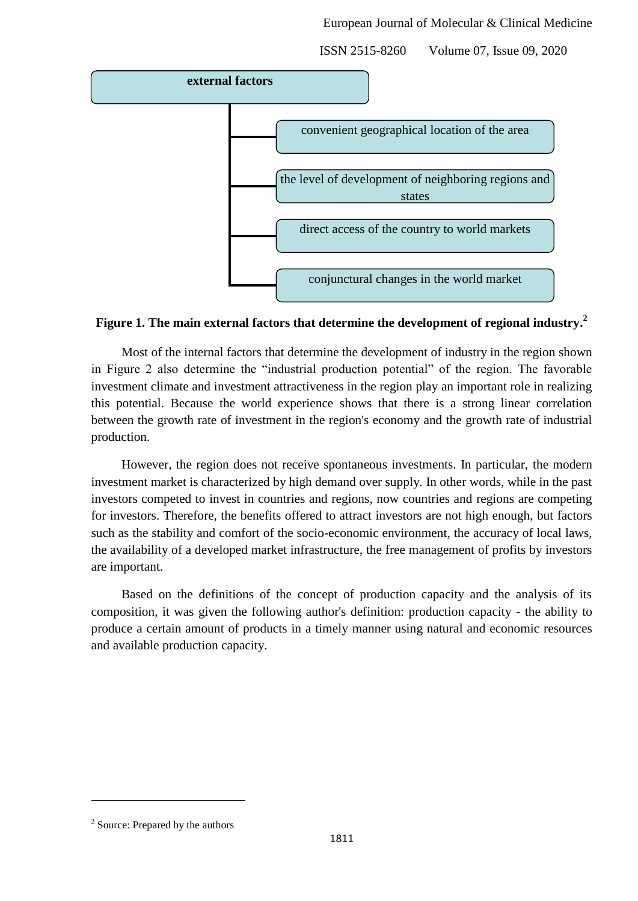

# **Figure 1. The main external factors that determine the development of regional industry. 2**

Most of the internal factors that determine the development of industry in the region shown in Figure 2 also determine the "industrial production potential" of the region. The favorable investment climate and investment attractiveness in the region play an important role in realizing this potential. Because the world experience shows that there is a strong linear correlation between the growth rate of investment in the region's economy and the growth rate of industrial production.

However, the region does not receive spontaneous investments. In particular, the modern investment market is characterized by high demand over supply. In other words, while in the past investors competed to invest in countries and regions, now countries and regions are competing for investors. Therefore, the benefits offered to attract investors are not high enough, but factors such as the stability and comfort of the socio-economic environment, the accuracy of local laws, the availability of a developed market infrastructure, the free management of profits by investors are important.

Based on the definitions of the concept of production capacity and the analysis of its composition, it was given the following author's definition: production capacity - the ability to produce a certain amount of products in a timely manner using natural and economic resources and available production capacity.

<sup>&</sup>lt;sup>2</sup> Source: Prepared by the authors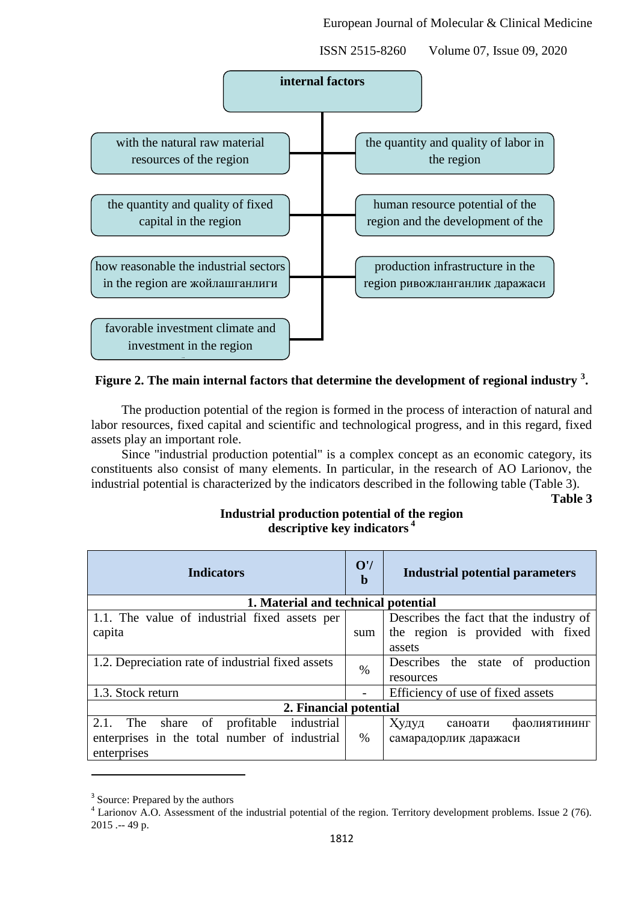European Journal of Molecular & Clinical Medicine

ISSN 2515-8260 Volume 07, Issue 09, 2020



# **Figure 2. The main internal factors that determine the development of regional industry <sup>3</sup> .**

The production potential of the region is formed in the process of interaction of natural and labor resources, fixed capital and scientific and technological progress, and in this regard, fixed assets play an important role.

Since "industrial production potential" is a complex concept as an economic category, its constituents also consist of many elements. In particular, in the research of AO Larionov, the industrial potential is characterized by the indicators described in the following table (Table 3).

**Table 3**

# **Industrial production potential of the region descriptive key indicators <sup>4</sup>**

| <b>Indicators</b>                                                          |      | <b>Industrial potential parameters</b>  |  |  |  |
|----------------------------------------------------------------------------|------|-----------------------------------------|--|--|--|
| 1. Material and technical potential                                        |      |                                         |  |  |  |
| 1.1. The value of industrial fixed assets per                              |      | Describes the fact that the industry of |  |  |  |
| capita                                                                     | sum  | the region is provided with fixed       |  |  |  |
|                                                                            |      | assets                                  |  |  |  |
| 1.2. Depreciation rate of industrial fixed assets                          |      | Describes<br>the<br>state of production |  |  |  |
|                                                                            | $\%$ | resources                               |  |  |  |
| 1.3. Stock return                                                          |      | Efficiency of use of fixed assets       |  |  |  |
| 2. Financial potential                                                     |      |                                         |  |  |  |
| $\overline{\text{of}}$<br>2.1.<br>profitable<br>industrial<br>share<br>The |      | Худуд<br>фаолиятининг<br>саноати        |  |  |  |
| enterprises in the total number of industrial                              | $\%$ | самарадорлик даражаси                   |  |  |  |
| enterprises                                                                |      |                                         |  |  |  |

<sup>&</sup>lt;sup>3</sup> Source: Prepared by the authors

 $\overline{a}$ 

<sup>&</sup>lt;sup>4</sup> Larionov A.O. Assessment of the industrial potential of the region. Territory development problems. Issue 2 (76). 2015 .-- 49 p.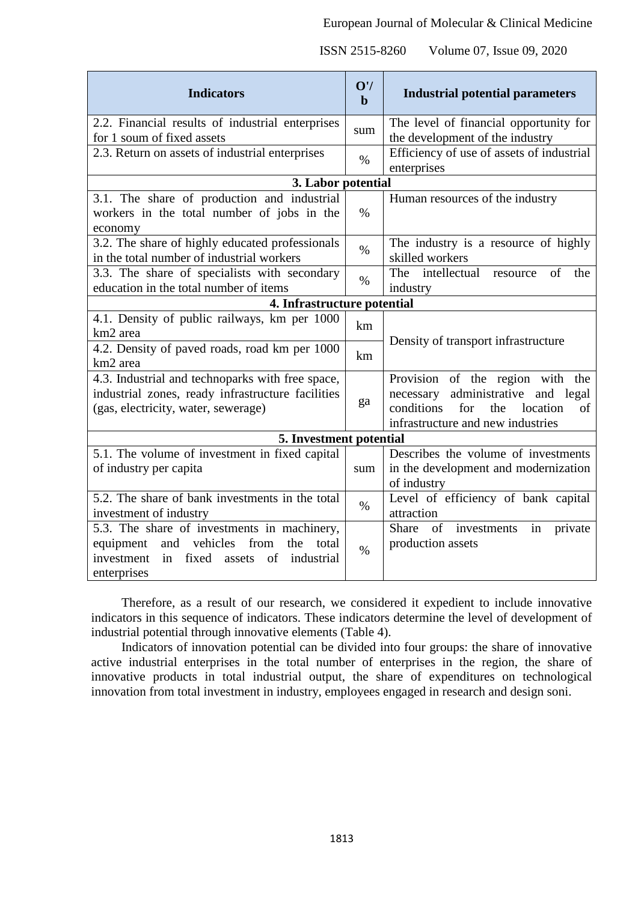| <b>Indicators</b>                                                                                                                                                       | O'/<br>$\mathbf b$ | <b>Industrial potential parameters</b>                                                                                                                       |  |
|-------------------------------------------------------------------------------------------------------------------------------------------------------------------------|--------------------|--------------------------------------------------------------------------------------------------------------------------------------------------------------|--|
| 2.2. Financial results of industrial enterprises                                                                                                                        | sum                | The level of financial opportunity for                                                                                                                       |  |
| for 1 soum of fixed assets                                                                                                                                              |                    | the development of the industry                                                                                                                              |  |
| 2.3. Return on assets of industrial enterprises                                                                                                                         | $\%$               | Efficiency of use of assets of industrial<br>enterprises                                                                                                     |  |
| 3. Labor potential                                                                                                                                                      |                    |                                                                                                                                                              |  |
| 3.1. The share of production and industrial<br>workers in the total number of jobs in the<br>economy                                                                    | $\%$               | Human resources of the industry                                                                                                                              |  |
| 3.2. The share of highly educated professionals<br>in the total number of industrial workers                                                                            | $\%$               | The industry is a resource of highly<br>skilled workers                                                                                                      |  |
| 3.3. The share of specialists with secondary<br>education in the total number of items                                                                                  | $\%$               | The intellectual resource<br>of<br>the<br>industry                                                                                                           |  |
| 4. Infrastructure potential                                                                                                                                             |                    |                                                                                                                                                              |  |
| 4.1. Density of public railways, km per 1000<br>km2 area                                                                                                                | km                 | Density of transport infrastructure                                                                                                                          |  |
| 4.2. Density of paved roads, road km per 1000<br>km2 area                                                                                                               |                    |                                                                                                                                                              |  |
| 4.3. Industrial and technoparks with free space,<br>industrial zones, ready infrastructure facilities<br>(gas, electricity, water, sewerage)                            |                    | Provision of the region with the<br>administrative and legal<br>necessary<br>conditions<br>for<br>location<br>the<br>of<br>infrastructure and new industries |  |
| 5. Investment potential                                                                                                                                                 |                    |                                                                                                                                                              |  |
| 5.1. The volume of investment in fixed capital<br>of industry per capita                                                                                                | sum                | Describes the volume of investments<br>in the development and modernization<br>of industry                                                                   |  |
| 5.2. The share of bank investments in the total<br>investment of industry                                                                                               | $\%$               | Level of efficiency of bank capital<br>attraction                                                                                                            |  |
| 5.3. The share of investments in machinery,<br>and vehicles<br>from<br>equipment<br>the<br>total<br>in<br>fixed assets<br>of<br>investment<br>industrial<br>enterprises | $\%$               | of investments<br>in<br>Share<br>private<br>production assets                                                                                                |  |

Therefore, as a result of our research, we considered it expedient to include innovative indicators in this sequence of indicators. These indicators determine the level of development of industrial potential through innovative elements (Table 4).

Indicators of innovation potential can be divided into four groups: the share of innovative active industrial enterprises in the total number of enterprises in the region, the share of innovative products in total industrial output, the share of expenditures on technological innovation from total investment in industry, employees engaged in research and design soni.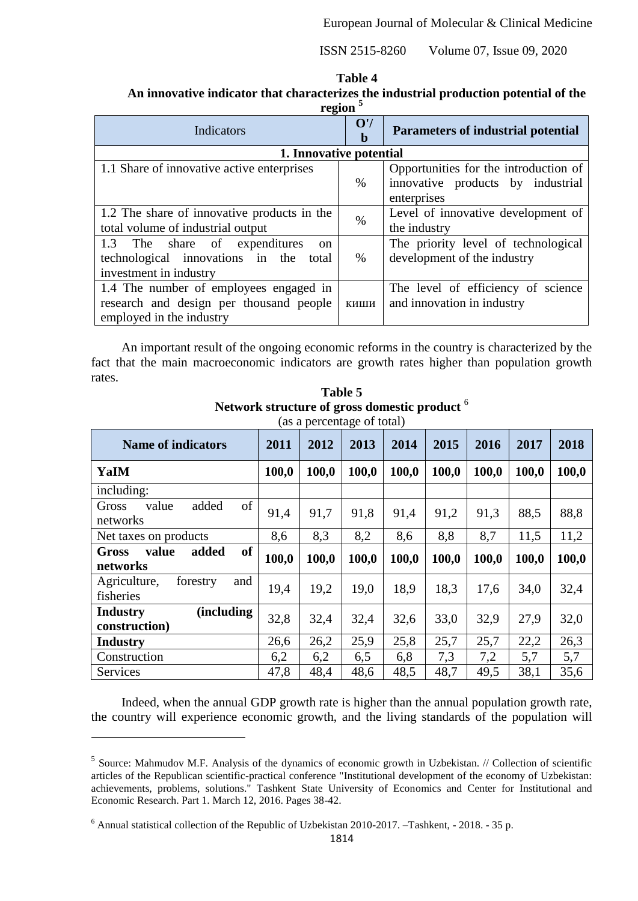#### **Table 4**

**An innovative indicator that characterizes the industrial production potential of the region <sup>5</sup>**

| 1.52011                                           |                    |                                           |  |
|---------------------------------------------------|--------------------|-------------------------------------------|--|
| Indicators                                        | O'/<br>$\mathbf b$ | <b>Parameters of industrial potential</b> |  |
| 1. Innovative potential                           |                    |                                           |  |
| 1.1 Share of innovative active enterprises        |                    | Opportunities for the introduction of     |  |
|                                                   | $\%$               | innovative products by industrial         |  |
|                                                   |                    | enterprises                               |  |
| 1.2 The share of innovative products in the       | $\%$               | Level of innovative development of        |  |
| total volume of industrial output                 |                    | the industry                              |  |
| 1.3 The share of<br>expenditures<br><sub>on</sub> |                    | The priority level of technological       |  |
| technological innovations in the<br>total         | %                  | development of the industry               |  |
| investment in industry                            |                    |                                           |  |
| 1.4 The number of employees engaged in            |                    | The level of efficiency of science        |  |
| research and design per thousand people           | киши               | and innovation in industry                |  |
| employed in the industry                          |                    |                                           |  |

An important result of the ongoing economic reforms in the country is characterized by the fact that the main macroeconomic indicators are growth rates higher than population growth rates.

| <b>Name of indicators</b>                        | 2011  | , <b>.</b><br>2012 | 2013  | 2014  | 2015  | 2016  | 2017  | 2018  |
|--------------------------------------------------|-------|--------------------|-------|-------|-------|-------|-------|-------|
| YaIM                                             | 100,0 | 100,0              | 100,0 | 100,0 | 100,0 | 100,0 | 100,0 | 100,0 |
| including:                                       |       |                    |       |       |       |       |       |       |
| of<br>added<br>Gross<br>value<br>networks        | 91,4  | 91,7               | 91,8  | 91,4  | 91,2  | 91,3  | 88,5  | 88,8  |
| Net taxes on products                            | 8,6   | 8,3                | 8,2   | 8,6   | 8,8   | 8,7   | 11,5  | 11,2  |
| of<br>value<br>added<br><b>Gross</b><br>networks | 100,0 | 100,0              | 100,0 | 100,0 | 100,0 | 100,0 | 100,0 | 100,0 |
| Agriculture,<br>forestry<br>and<br>fisheries     | 19,4  | 19,2               | 19,0  | 18.9  | 18,3  | 17,6  | 34,0  | 32,4  |
| (including<br><b>Industry</b><br>construction)   | 32,8  | 32,4               | 32,4  | 32,6  | 33,0  | 32,9  | 27,9  | 32,0  |
| <b>Industry</b>                                  | 26,6  | 26,2               | 25,9  | 25,8  | 25,7  | 25,7  | 22,2  | 26,3  |
| Construction                                     | 6,2   | 6,2                | 6,5   | 6,8   | 7,3   | 7,2   | 5,7   | 5,7   |
| Services                                         | 47,8  | 48,4               | 48,6  | 48,5  | 48,7  | 49,5  | 38,1  | 35,6  |

**Table 5 Network structure of gross domestic product** <sup>6</sup> (as a percentage of total)

Indeed, when the annual GDP growth rate is higher than the annual population growth rate, the country will experience economic growth, and the living standards of the population will

1

<sup>&</sup>lt;sup>5</sup> Source: Mahmudov M.F. Analysis of the dynamics of economic growth in Uzbekistan. // Collection of scientific articles of the Republican scientific-practical conference "Institutional development of the economy of Uzbekistan: achievements, problems, solutions." Tashkent State University of Economics and Center for Institutional and Economic Research. Part 1. March 12, 2016. Pages 38-42.

<sup>6</sup> Annual statistical collection of the Republic of Uzbekistan 2010-2017. –Tashkent, - 2018. - 35 p.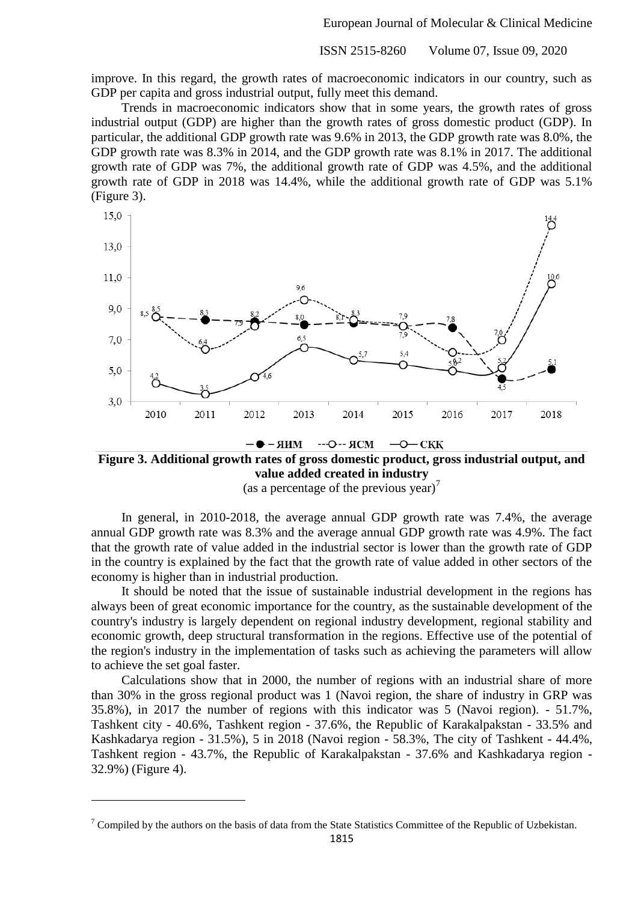improve. In this regard, the growth rates of macroeconomic indicators in our country, such as GDP per capita and gross industrial output, fully meet this demand.

Trends in macroeconomic indicators show that in some years, the growth rates of gross industrial output (GDP) are higher than the growth rates of gross domestic product (GDP). In particular, the additional GDP growth rate was 9.6% in 2013, the GDP growth rate was 8.0%, the GDP growth rate was 8.3% in 2014, and the GDP growth rate was 8.1% in 2017. The additional growth rate of GDP was 7%, the additional growth rate of GDP was 4.5%, and the additional growth rate of GDP in 2018 was 14.4%, while the additional growth rate of GDP was 5.1% (Figure 3).



**Figure 3. Additional growth rates of gross domestic product, gross industrial output, and value added created in industry**

--0-- ЯСМ

 $CKK$ 

 $MIR - \bigodot$ 

(as a percentage of the previous year)<sup>7</sup>

In general, in 2010-2018, the average annual GDP growth rate was 7.4%, the average annual GDP growth rate was 8.3% and the average annual GDP growth rate was 4.9%. The fact that the growth rate of value added in the industrial sector is lower than the growth rate of GDP in the country is explained by the fact that the growth rate of value added in other sectors of the economy is higher than in industrial production.

It should be noted that the issue of sustainable industrial development in the regions has always been of great economic importance for the country, as the sustainable development of the country's industry is largely dependent on regional industry development, regional stability and economic growth, deep structural transformation in the regions. Effective use of the potential of the region's industry in the implementation of tasks such as achieving the parameters will allow to achieve the set goal faster.

Calculations show that in 2000, the number of regions with an industrial share of more than 30% in the gross regional product was 1 (Navoi region, the share of industry in GRP was 35.8%), in 2017 the number of regions with this indicator was 5 (Navoi region). - 51.7%, Tashkent city - 40.6%, Tashkent region - 37.6%, the Republic of Karakalpakstan - 33.5% and Kashkadarya region - 31.5%), 5 in 2018 (Navoi region - 58.3%, The city of Tashkent - 44.4%, Tashkent region - 43.7%, the Republic of Karakalpakstan - 37.6% and Kashkadarya region - 32.9%) (Figure 4).

 $7$  Compiled by the authors on the basis of data from the State Statistics Committee of the Republic of Uzbekistan.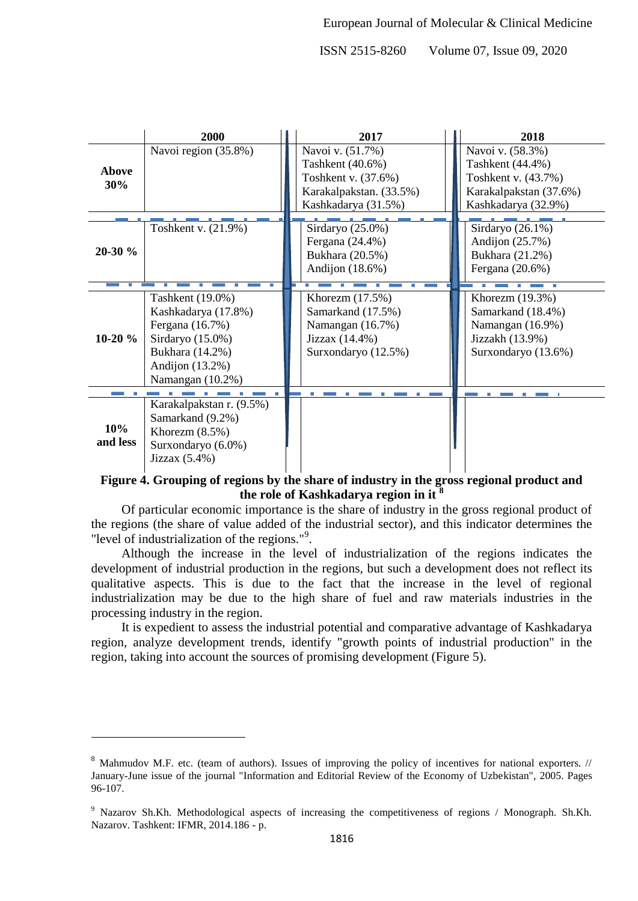|                     | 2000                     | 2017                    | 2018                   |
|---------------------|--------------------------|-------------------------|------------------------|
|                     | Navoi region (35.8%)     | Navoi v. (51.7%)        | Navoi v. (58.3%)       |
| <b>Above</b><br>30% |                          | Tashkent (40.6%)        | Tashkent (44.4%)       |
|                     |                          | Toshkent v. (37.6%)     | Toshkent v. (43.7%)    |
|                     |                          | Karakalpakstan. (33.5%) | Karakalpakstan (37.6%) |
|                     |                          | Kashkadarya (31.5%)     | Kashkadarya (32.9%)    |
|                     |                          |                         |                        |
|                     | Toshkent v. (21.9%)      | Sirdaryo (25.0%)        | Sirdaryo (26.1%)       |
| $20-30%$            |                          | Fergana (24.4%)         | Andijon $(25.7%)$      |
|                     |                          | Bukhara (20.5%)         | Bukhara (21.2%)        |
|                     |                          | Andijon $(18.6%)$       | Fergana (20.6%)        |
|                     |                          |                         |                        |
|                     | Tashkent (19.0%)         | Khorezm $(17.5%)$       | Khorezm $(19.3%)$      |
|                     | Kashkadarya (17.8%)      | Samarkand (17.5%)       | Samarkand (18.4%)      |
|                     | Fergana (16.7%)          | Namangan (16.7%)        | Namangan (16.9%)       |
| $10-20%$            | Sirdaryo (15.0%)         | Jizzax (14.4%)          | Jizzakh (13.9%)        |
|                     | Bukhara (14.2%)          | Surxondaryo (12.5%)     | Surxondaryo (13.6%)    |
|                     | Andijon $(13.2\%)$       |                         |                        |
|                     | Namangan (10.2%)         |                         |                        |
|                     |                          |                         |                        |
|                     | Karakalpakstan r. (9.5%) |                         |                        |
| 10%<br>and less     | Samarkand (9.2%)         |                         |                        |
|                     | Khorezm $(8.5\%)$        |                         |                        |
|                     | Surxondaryo (6.0%)       |                         |                        |
|                     | Jizzax $(5.4\%)$         |                         |                        |

# **Figure 4. Grouping of regions by the share of industry in the gross regional product and the role of Kashkadarya region in it <sup>8</sup>**

Of particular economic importance is the share of industry in the gross regional product of the regions (the share of value added of the industrial sector), and this indicator determines the "level of industrialization of the regions."<sup>9</sup>.

Although the increase in the level of industrialization of the regions indicates the development of industrial production in the regions, but such a development does not reflect its qualitative aspects. This is due to the fact that the increase in the level of regional industrialization may be due to the high share of fuel and raw materials industries in the processing industry in the region.

It is expedient to assess the industrial potential and comparative advantage of Kashkadarya region, analyze development trends, identify "growth points of industrial production" in the region, taking into account the sources of promising development (Figure 5).

1

<sup>&</sup>lt;sup>8</sup> Mahmudov M.F. etc. (team of authors). Issues of improving the policy of incentives for national exporters. // January-June issue of the journal "Information and Editorial Review of the Economy of Uzbekistan", 2005. Pages 96-107.

<sup>9</sup> Nazarov Sh.Kh. Methodological aspects of increasing the competitiveness of regions / Monograph. Sh.Kh. Nazarov. Tashkent: IFMR, 2014.186 - p.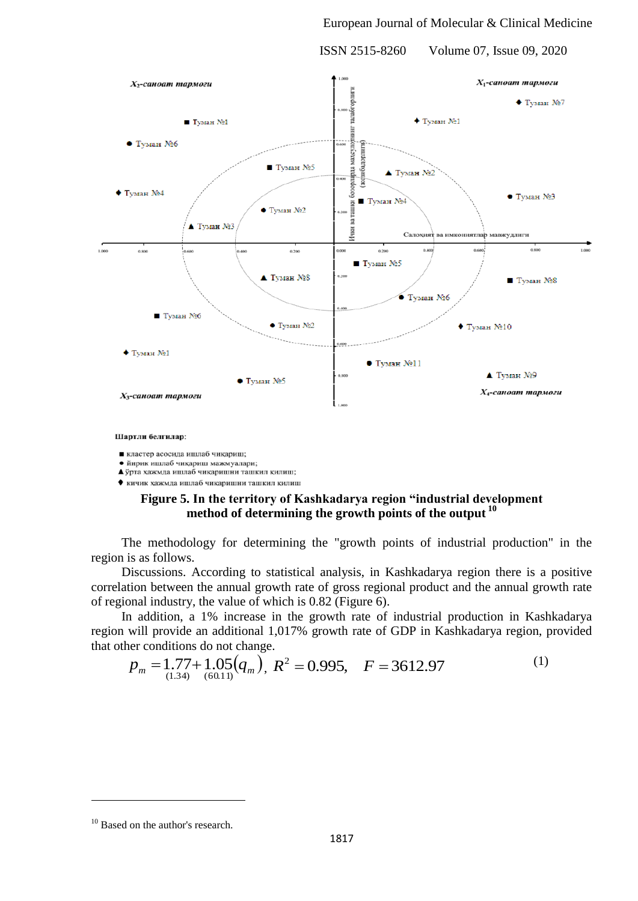

Шартли белгилар:

и кластер асосида ишлаб чикариш;

• йирик ишлаб чикариш мажмуалари;

А ўрта хажмда ишлаб чикаришни ташкил килиш; • кичик хажмда ишлаб чикаришни ташкил килиш

# **Figure 5. In the territory of Kashkadarya region "industrial development method of determining the growth points of the output <sup>10</sup>**

The methodology for determining the "growth points of industrial production" in the region is as follows.

Discussions. According to statistical analysis, in Kashkadarya region there is a positive correlation between the annual growth rate of gross regional product and the annual growth rate of regional industry, the value of which is 0.82 (Figure 6).

In addition, a 1% increase in the growth rate of industrial production in Kashkadarya region will provide an additional 1,017% growth rate of GDP in Kashkadarya region, provided that other conditions do not change.

$$
p_m = 1.77 + 1.05(q_m), R^2 = 0.995, F = 3612.97
$$
<sup>(1)</sup>

<sup>&</sup>lt;sup>10</sup> Based on the author's research.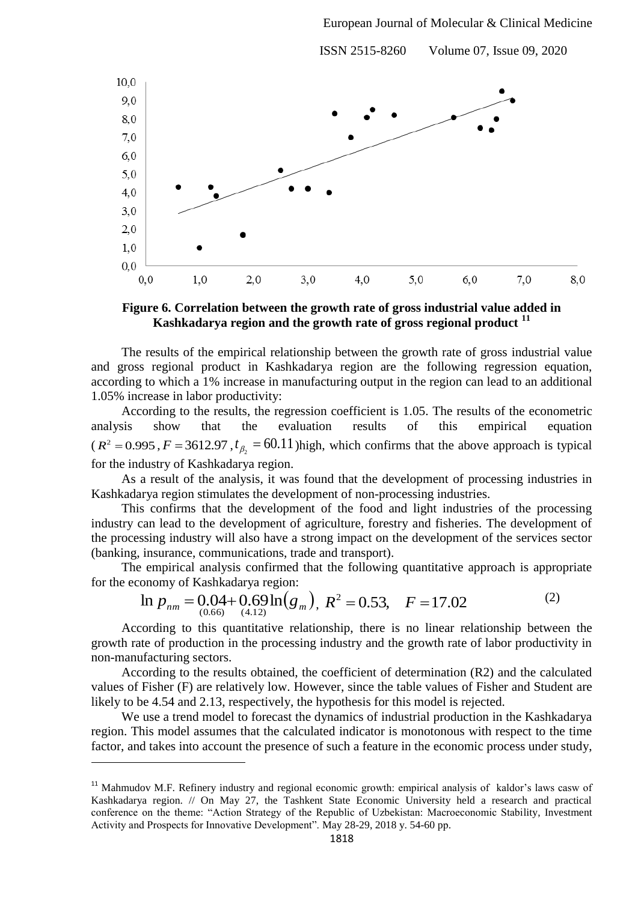

**Figure 6. Correlation between the growth rate of gross industrial value added in Kashkadarya region and the growth rate of gross regional product <sup>11</sup>**

The results of the empirical relationship between the growth rate of gross industrial value and gross regional product in Kashkadarya region are the following regression equation, according to which a 1% increase in manufacturing output in the region can lead to an additional 1.05% increase in labor productivity:

According to the results, the regression coefficient is 1.05. The results of the econometric analysis show that the evaluation results of this empirical equation  $(R^2 = 0.995, F = 3612.97, t_{\beta_2} = 60.11$ ) high, which confirms that the above approach is typical for the industry of Kashkadarya region.

As a result of the analysis, it was found that the development of processing industries in Kashkadarya region stimulates the development of non-processing industries.

This confirms that the development of the food and light industries of the processing industry can lead to the development of agriculture, forestry and fisheries. The development of the processing industry will also have a strong impact on the development of the services sector (banking, insurance, communications, trade and transport).

The empirical analysis confirmed that the following quantitative approach is appropriate for the economy of Kashkadarya region:

$$
\ln p_{nm} = 0.04 + 0.69 \ln(g_m), R^2 = 0.53, F = 17.02
$$
 (2)

According to this quantitative relationship, there is no linear relationship between the growth rate of production in the processing industry and the growth rate of labor productivity in non-manufacturing sectors.

According to the results obtained, the coefficient of determination (R2) and the calculated values of Fisher (F) are relatively low. However, since the table values of Fisher and Student are likely to be 4.54 and 2.13, respectively, the hypothesis for this model is rejected.

We use a trend model to forecast the dynamics of industrial production in the Kashkadarya region. This model assumes that the calculated indicator is monotonous with respect to the time factor, and takes into account the presence of such a feature in the economic process under study,

<sup>&</sup>lt;sup>11</sup> Mahmudov M.F. Refinery industry and regional economic growth: empirical analysis of kaldor's laws casw of Kashkadarya region. // On May 27, the Tashkent State Economic University held a research and practical conference on the theme: "Action Strategy of the Republic of Uzbekistan: Macroeconomic Stability, Investment Activity and Prospects for Innovative Development". May 28-29, 2018 y. 54-60 pр.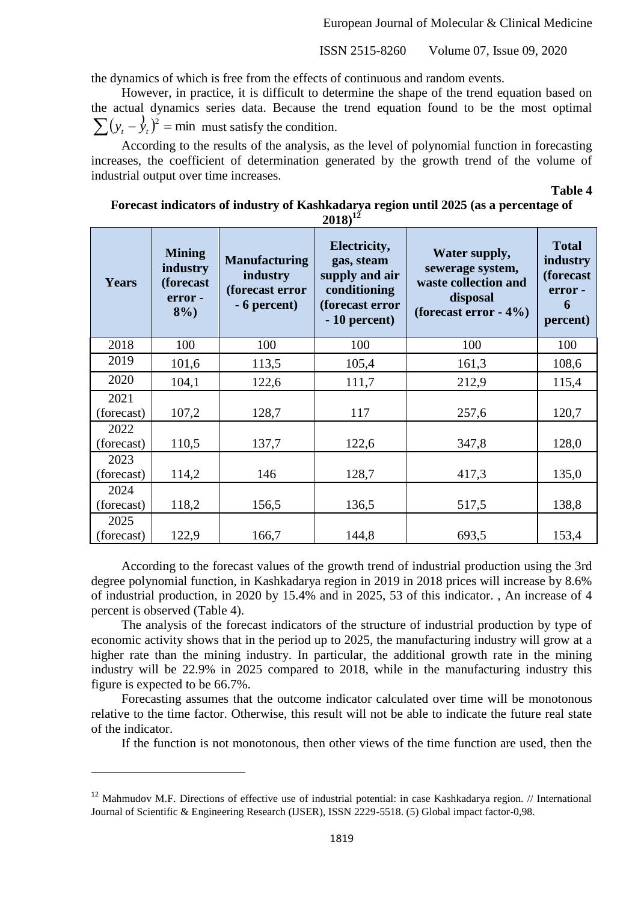the dynamics of which is free from the effects of continuous and random events.

However, in practice, it is difficult to determine the shape of the trend equation based on the actual dynamics series data. Because the trend equation found to be the most optimal  $\sum (y_t - \hat{y}_t)^2 = \text{min}$  must satisfy the condition.

According to the results of the analysis, as the level of polynomial function in forecasting increases, the coefficient of determination generated by the growth trend of the volume of industrial output over time increases.

**Table 4**

| Forecast indicators of industry of Kashkadarya region until 2025 (as a percentage of |  |
|--------------------------------------------------------------------------------------|--|
| $2018)^{12}$                                                                         |  |

| Years              | <b>Mining</b><br>industry<br>(forecast<br>error-<br>$8\%$ ) | <b>Manufacturing</b><br>industry<br>(forecast error<br>- 6 percent) | Electricity,<br>gas, steam<br>supply and air<br>conditioning<br>(forecast error<br>$-10$ percent) | Water supply,<br>sewerage system,<br>waste collection and<br>disposal<br>(forecast error $-4\%$ ) | <b>Total</b><br>industry<br>(forecast<br>error -<br>6<br>percent) |
|--------------------|-------------------------------------------------------------|---------------------------------------------------------------------|---------------------------------------------------------------------------------------------------|---------------------------------------------------------------------------------------------------|-------------------------------------------------------------------|
| 2018               | 100                                                         | 100                                                                 | 100                                                                                               | 100                                                                                               | 100                                                               |
| 2019               | 101,6                                                       | 113,5                                                               | 105,4                                                                                             | 161,3                                                                                             | 108,6                                                             |
| 2020               | 104,1                                                       | 122,6                                                               | 111,7                                                                                             | 212,9                                                                                             | 115,4                                                             |
| 2021<br>(forecast) | 107,2                                                       | 128,7                                                               | 117                                                                                               | 257,6                                                                                             | 120,7                                                             |
| 2022<br>(forecast) | 110,5                                                       | 137,7                                                               | 122,6                                                                                             | 347,8                                                                                             | 128,0                                                             |
| 2023<br>(forecast) | 114,2                                                       | 146                                                                 | 128,7                                                                                             | 417,3                                                                                             | 135,0                                                             |
| 2024<br>(forecast) | 118,2                                                       | 156,5                                                               | 136,5                                                                                             | 517,5                                                                                             | 138,8                                                             |
| 2025<br>(forecast) | 122,9                                                       | 166,7                                                               | 144,8                                                                                             | 693,5                                                                                             | 153,4                                                             |

According to the forecast values of the growth trend of industrial production using the 3rd degree polynomial function, in Kashkadarya region in 2019 in 2018 prices will increase by 8.6% of industrial production, in 2020 by 15.4% and in 2025, 53 of this indicator. , An increase of 4 percent is observed (Table 4).

The analysis of the forecast indicators of the structure of industrial production by type of economic activity shows that in the period up to 2025, the manufacturing industry will grow at a higher rate than the mining industry. In particular, the additional growth rate in the mining industry will be 22.9% in 2025 compared to 2018, while in the manufacturing industry this figure is expected to be 66.7%.

Forecasting assumes that the outcome indicator calculated over time will be monotonous relative to the time factor. Otherwise, this result will not be able to indicate the future real state of the indicator.

If the function is not monotonous, then other views of the time function are used, then the

1

<sup>&</sup>lt;sup>12</sup> Mahmudov M.F. Directions of effective use of industrial potential: in case Kashkadarya region. // International Journal of Scientific & Engineering Research (IJSER), ISSN 2229-5518. (5) Global impact factor-0,98.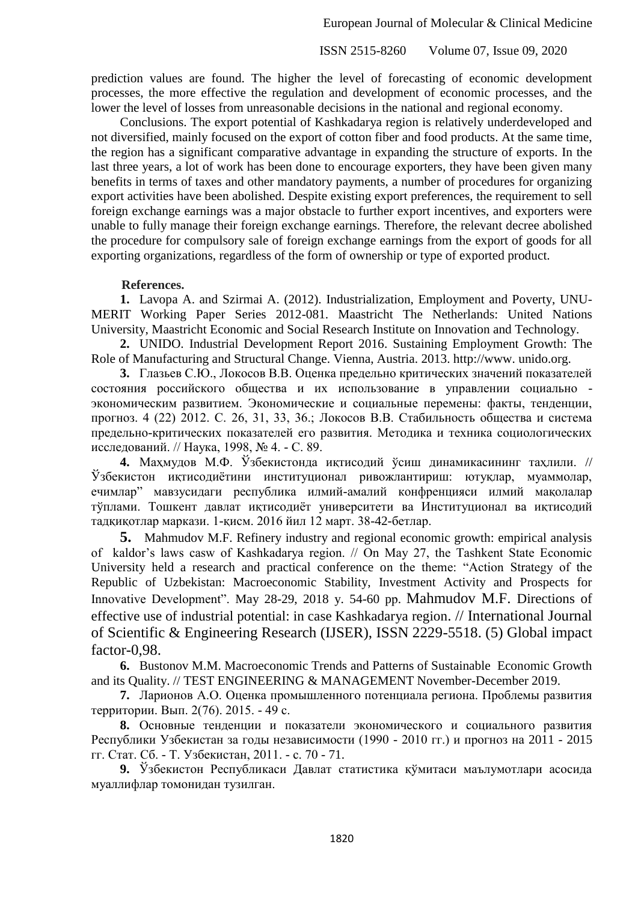prediction values are found. The higher the level of forecasting of economic development processes, the more effective the regulation and development of economic processes, and the lower the level of losses from unreasonable decisions in the national and regional economy.

Conclusions. The export potential of Kashkadarya region is relatively underdeveloped and not diversified, mainly focused on the export of cotton fiber and food products. At the same time, the region has a significant comparative advantage in expanding the structure of exports. In the last three years, a lot of work has been done to encourage exporters, they have been given many benefits in terms of taxes and other mandatory payments, a number of procedures for organizing export activities have been abolished. Despite existing export preferences, the requirement to sell foreign exchange earnings was a major obstacle to further export incentives, and exporters were unable to fully manage their foreign exchange earnings. Therefore, the relevant decree abolished the procedure for compulsory sale of foreign exchange earnings from the export of goods for all exporting organizations, regardless of the form of ownership or type of exported product.

## **References.**

**1.** Lavopa A. and Szirmai A. (2012). Industrialization, Employment and Poverty, UNU-MERIT Working Paper Series 2012-081. Maastricht The Netherlands: United Nations University, Maastricht Economic and Social Research Institute on Innovation and Technology.

**2.** UNIDO. Industrial Development Report 2016. Sustaining Employment Growth: The Role of Manufacturing and Structural Change. Vienna, Austria. 2013. http://www. unido.org.

**3.** Глазьев С.Ю., Локосов В.В. Оценка предельно критических значений показателей состояния российского общества и их использование в управлении социально экономическим развитием. Экономические и социальные перемены: факты, тенденции, прогноз. 4 (22) 2012. С. 26, 31, 33, 36.; Локосов В.В. Стабильность общества и система предельно-критических показателей его развития. Методика и техника социологических исследований. // Наука, 1998, № 4. - С. 89.

**4.** Маҳмудов М.Ф. Ўзбекистонда иқтисодий ўсиш динамикасининг таҳлили. // Ўзбекистон иқтисодиѐтини институционал ривожлантириш: ютуқлар, муаммолар, ечимлар" мавзусидаги республика илмий-амалий конфренцияси илмий мақолалар тўплами. Тошкент давлат иқтисодиѐт университети ва Институционал ва иқтисодий тадқиқотлар маркази. 1-қисм. 2016 йил 12 март. 38-42-бетлар.

**5.** Mahmudov M.F. Refinery industry and regional economic growth: empirical analysis of kaldor's laws casw of Kashkadarya region. // On May 27, the Tashkent State Economic University held a research and practical conference on the theme: "Action Strategy of the Republic of Uzbekistan: Macroeconomic Stability, Investment Activity and Prospects for Innovative Development". May 28-29, 2018 y. 54-60 pр. Mahmudov M.F. Directions of effective use of industrial potential: in case Kashkadarya region. // International Journal of Scientific & Engineering Research (IJSER), ISSN 2229-5518. (5) Global impact factor-0,98.

**6.** Bustonov M.M. Macroeconomic Trends and Patterns of Sustainable Economic Growth and its Quality. // TEST ENGINEERING & MANAGEMENT November-December 2019.

**7.** Ларионов А.О. Оценка промышленного потенциала региона. Проблемы развития территории. Вып. 2(76). 2015. - 49 с.

**8.** Основные тенденции и показатели экономического и социального развития Республики Узбекистан за годы независимости (1990 - 2010 гг.) и прогноз на 2011 - 2015 гг. Стат. Сб. - Т. Узбекистан, 2011. - с. 70 - 71.

**9.** Ўзбекистон Республикаси Давлат статистика қўмитаси маълумотлари асосида муаллифлар томонидан тузилган.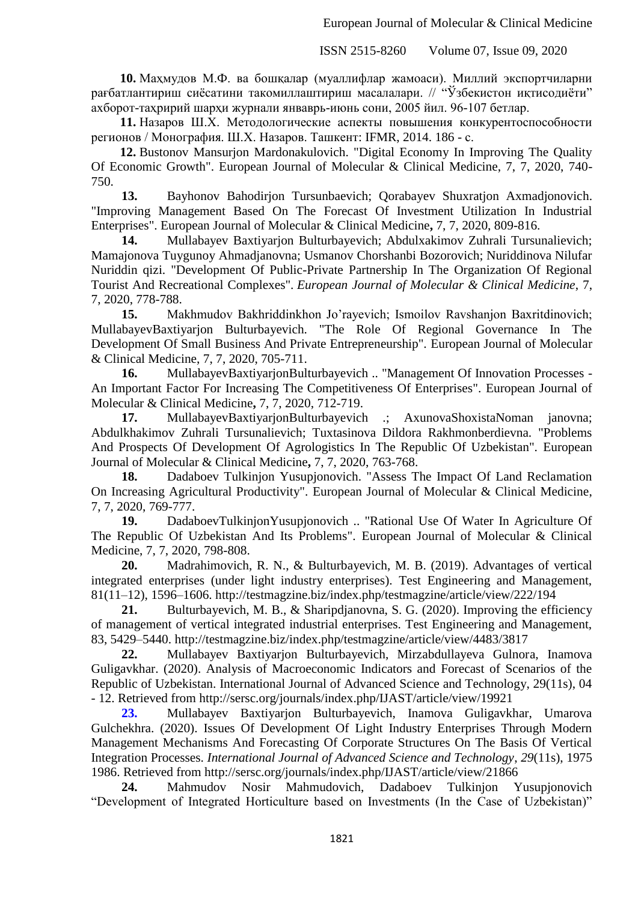**10.** Маҳмудов М.Ф. ва бошқалар (муаллифлар жамоаси). Миллий экспортчиларни рағбатлантириш сиёсатини такомиллаштириш масалалари. // "Ўзбекистон иқтисодиёти" ахборот-таҳририй шарҳи журнали янваврь-июнь сони, 2005 йил. 96-107 бетлар.

**11.** Назаров Ш.Х. Методологические аспекты повышения конкурентоспособности регионов / Монография. Ш.Х. Назаров. Ташкент: IFMR, 2014. 186 - с.

**12.** Bustonov Mansurjon Mardonakulovich. "Digital Economy In Improving The Quality Of Economic Growth". European Journal of Molecular & Clinical Medicine, 7, 7, 2020, 740- 750.

**13.** Bayhonov Bahodirjon Tursunbaevich; Qorabayev Shuxratjon Axmadjonovich. "Improving Management Based On The Forecast Of Investment Utilization In Industrial Enterprises". European Journal of Molecular & Clinical Medicine**,** 7, 7, 2020, 809-816.

**14.** Mullabayev Baxtiyarjon Bulturbayevich; Abdulxakimov Zuhrali Tursunalievich; Mamajonova Tuygunoy Ahmadjanovna; Usmanov Chorshanbi Bozorovich; Nuriddinova Nilufar Nuriddin qizi. "Development Of Public-Private Partnership In The Organization Of Regional Tourist And Recreational Complexes". *European Journal of Molecular & Clinical Medicine*, 7, 7, 2020, 778-788.

**15.** Makhmudov Bakhriddinkhon Jo'rayevich; Ismoilov Ravshanjon Baxritdinovich; MullabayevBaxtiyarjon Bulturbayevich. "The Role Of Regional Governance In The Development Of Small Business And Private Entrepreneurship". European Journal of Molecular & Clinical Medicine, 7, 7, 2020, 705-711.

**16.** MullabayevBaxtiyarjonBulturbayevich .. "Management Of Innovation Processes - An Important Factor For Increasing The Competitiveness Of Enterprises". European Journal of Molecular & Clinical Medicine**,** 7, 7, 2020, 712-719.

**17.** MullabayevBaxtiyarjonBulturbayevich .; AxunovaShoxistaNoman janovna; Abdulkhakimov Zuhrali Tursunalievich; Tuxtasinova Dildora Rakhmonberdievna. "Problems And Prospects Of Development Of Agrologistics In The Republic Of Uzbekistan". European Journal of Molecular & Clinical Medicine**,** 7, 7, 2020, 763-768.

**18.** Dadaboev Tulkinjon Yusupjonovich. "Assess The Impact Of Land Reclamation On Increasing Agricultural Productivity". European Journal of Molecular & Clinical Medicine, 7, 7, 2020, 769-777.

**19.** DadaboevTulkinjonYusupjonovich .. "Rational Use Of Water In Agriculture Of The Republic Of Uzbekistan And Its Problems". European Journal of Molecular & Clinical Medicine, 7, 7, 2020, 798-808.

**20.** Madrahimovich, R. N., & Bulturbayevich, M. B. (2019). Advantages of vertical integrated enterprises (under light industry enterprises). Test Engineering and Management, 81(11–12), 1596–1606. http://testmagzine.biz/index.php/testmagzine/article/view/222/194

**21.** Bulturbayevich, M. B., & Sharipdjanovna, S. G. (2020). Improving the efficiency of management of vertical integrated industrial enterprises. Test Engineering and Management, 83, 5429–5440. http://testmagzine.biz/index.php/testmagzine/article/view/4483/3817

**22.** Mullabayev Baxtiyarjon Bulturbayevich, Mirzabdullayeva Gulnora, Inamova Guligavkhar. (2020). Analysis of Macroeconomic Indicators and Forecast of Scenarios of the Republic of Uzbekistan. International Journal of Advanced Science and Technology, 29(11s), 04 - 12. Retrieved from http://sersc.org/journals/index.php/IJAST/article/view/19921

**23.** Mullabayev Baxtiyarjon Bulturbayevich, Inamova Guligavkhar, Umarova Gulchekhra. (2020). Issues Of Development Of Light Industry Enterprises Through Modern Management Mechanisms And Forecasting Of Corporate Structures On The Basis Of Vertical Integration Processes. *International Journal of Advanced Science and Technology*, *29*(11s), 1975 1986. Retrieved from http://sersc.org/journals/index.php/IJAST/article/view/21866

**24.** Mahmudov Nosir Mahmudovich, Dadaboev Tulkinjon Yusupjonovich "Development of Integrated Horticulture based on Investments (In the Case of Uzbekistan)"